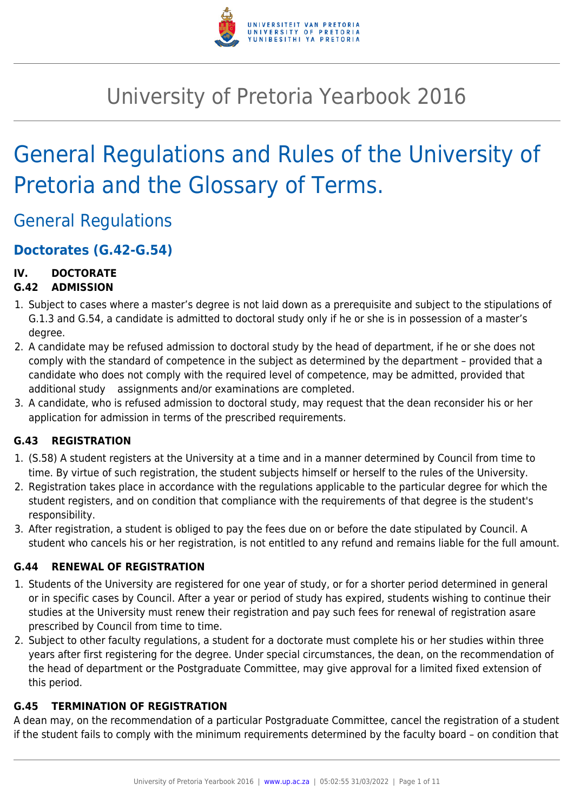

# University of Pretoria Yearbook 2016

# General Regulations and Rules of the University of Pretoria and the Glossary of Terms.

General Regulations

## **Doctorates (G.42-G.54)**

## **IV. DOCTORATE**

## **G.42 ADMISSION**

- 1. Subject to cases where a master's degree is not laid down as a prerequisite and subject to the stipulations of G.1.3 and G.54, a candidate is admitted to doctoral study only if he or she is in possession of a master's degree.
- 2. A candidate may be refused admission to doctoral study by the head of department, if he or she does not comply with the standard of competence in the subject as determined by the department – provided that a candidate who does not comply with the required level of competence, may be admitted, provided that additional study assignments and/or examinations are completed.
- 3. A candidate, who is refused admission to doctoral study, may request that the dean reconsider his or her application for admission in terms of the prescribed requirements.

## **G.43 REGISTRATION**

- 1. (S.58) A student registers at the University at a time and in a manner determined by Council from time to time. By virtue of such registration, the student subjects himself or herself to the rules of the University.
- 2. Registration takes place in accordance with the regulations applicable to the particular degree for which the student registers, and on condition that compliance with the requirements of that degree is the student's responsibility.
- 3. After registration, a student is obliged to pay the fees due on or before the date stipulated by Council. A student who cancels his or her registration, is not entitled to any refund and remains liable for the full amount.

### **G.44 RENEWAL OF REGISTRATION**

- 1. Students of the University are registered for one year of study, or for a shorter period determined in general or in specific cases by Council. After a year or period of study has expired, students wishing to continue their studies at the University must renew their registration and pay such fees for renewal of registration asare prescribed by Council from time to time.
- 2. Subject to other faculty regulations, a student for a doctorate must complete his or her studies within three years after first registering for the degree. Under special circumstances, the dean, on the recommendation of the head of department or the Postgraduate Committee, may give approval for a limited fixed extension of this period.

## **G.45 TERMINATION OF REGISTRATION**

A dean may, on the recommendation of a particular Postgraduate Committee, cancel the registration of a student if the student fails to comply with the minimum requirements determined by the faculty board – on condition that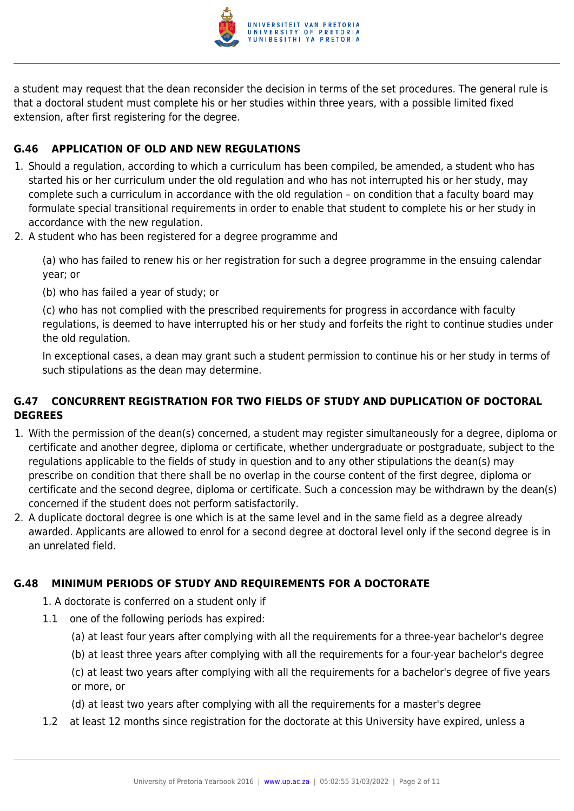

a student may request that the dean reconsider the decision in terms of the set procedures. The general rule is that a doctoral student must complete his or her studies within three years, with a possible limited fixed extension, after first registering for the degree.

### **G.46 APPLICATION OF OLD AND NEW REGULATIONS**

- 1. Should a regulation, according to which a curriculum has been compiled, be amended, a student who has started his or her curriculum under the old regulation and who has not interrupted his or her study, may complete such a curriculum in accordance with the old regulation – on condition that a faculty board may formulate special transitional requirements in order to enable that student to complete his or her study in accordance with the new regulation.
- 2. A student who has been registered for a degree programme and

(a) who has failed to renew his or her registration for such a degree programme in the ensuing calendar year; or

(b) who has failed a year of study; or

(c) who has not complied with the prescribed requirements for progress in accordance with faculty regulations, is deemed to have interrupted his or her study and forfeits the right to continue studies under the old regulation.

In exceptional cases, a dean may grant such a student permission to continue his or her study in terms of such stipulations as the dean may determine.

## **G.47 CONCURRENT REGISTRATION FOR TWO FIELDS OF STUDY AND DUPLICATION OF DOCTORAL DEGREES**

- 1. With the permission of the dean(s) concerned, a student may register simultaneously for a degree, diploma or certificate and another degree, diploma or certificate, whether undergraduate or postgraduate, subject to the regulations applicable to the fields of study in question and to any other stipulations the dean(s) may prescribe on condition that there shall be no overlap in the course content of the first degree, diploma or certificate and the second degree, diploma or certificate. Such a concession may be withdrawn by the dean(s) concerned if the student does not perform satisfactorily.
- 2. A duplicate doctoral degree is one which is at the same level and in the same field as a degree already awarded. Applicants are allowed to enrol for a second degree at doctoral level only if the second degree is in an unrelated field.

### **G.48 MINIMUM PERIODS OF STUDY AND REQUIREMENTS FOR A DOCTORATE**

- 1. A doctorate is conferred on a student only if
- 1.1 one of the following periods has expired:
	- (a) at least four years after complying with all the requirements for a three-year bachelor's degree
	- (b) at least three years after complying with all the requirements for a four-year bachelor's degree

(c) at least two years after complying with all the requirements for a bachelor's degree of five years or more, or

- (d) at least two years after complying with all the requirements for a master's degree
- 1.2 at least 12 months since registration for the doctorate at this University have expired, unless a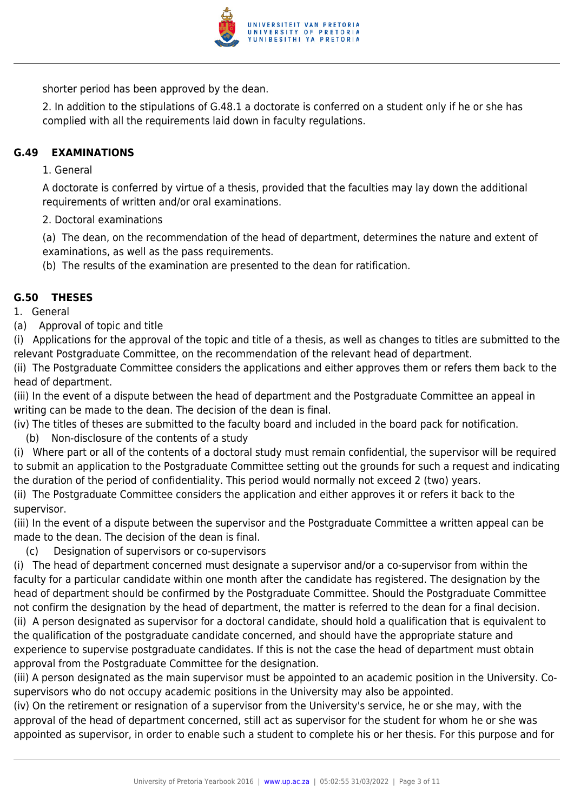

shorter period has been approved by the dean.

2. In addition to the stipulations of G.48.1 a doctorate is conferred on a student only if he or she has complied with all the requirements laid down in faculty regulations.

#### **G.49 EXAMINATIONS**

1. General

A doctorate is conferred by virtue of a thesis, provided that the faculties may lay down the additional requirements of written and/or oral examinations.

2. Doctoral examinations

(a) The dean, on the recommendation of the head of department, determines the nature and extent of examinations, as well as the pass requirements.

(b) The results of the examination are presented to the dean for ratification.

#### **G.50 THESES**

1. General

(a) Approval of topic and title

(i) Applications for the approval of the topic and title of a thesis, as well as changes to titles are submitted to the relevant Postgraduate Committee, on the recommendation of the relevant head of department.

(ii) The Postgraduate Committee considers the applications and either approves them or refers them back to the head of department.

(iii) In the event of a dispute between the head of department and the Postgraduate Committee an appeal in writing can be made to the dean. The decision of the dean is final.

- (iv) The titles of theses are submitted to the faculty board and included in the board pack for notification.
	- (b) Non-disclosure of the contents of a study
- (i) Where part or all of the contents of a doctoral study must remain confidential, the supervisor will be required to submit an application to the Postgraduate Committee setting out the grounds for such a request and indicating the duration of the period of confidentiality. This period would normally not exceed 2 (two) years.

(ii) The Postgraduate Committee considers the application and either approves it or refers it back to the supervisor.

(iii) In the event of a dispute between the supervisor and the Postgraduate Committee a written appeal can be made to the dean. The decision of the dean is final.

(c) Designation of supervisors or co-supervisors

(i) The head of department concerned must designate a supervisor and/or a co-supervisor from within the faculty for a particular candidate within one month after the candidate has registered. The designation by the head of department should be confirmed by the Postgraduate Committee. Should the Postgraduate Committee not confirm the designation by the head of department, the matter is referred to the dean for a final decision. (ii) A person designated as supervisor for a doctoral candidate, should hold a qualification that is equivalent to the qualification of the postgraduate candidate concerned, and should have the appropriate stature and experience to supervise postgraduate candidates. If this is not the case the head of department must obtain approval from the Postgraduate Committee for the designation.

(iii) A person designated as the main supervisor must be appointed to an academic position in the University. Cosupervisors who do not occupy academic positions in the University may also be appointed.

(iv) On the retirement or resignation of a supervisor from the University's service, he or she may, with the approval of the head of department concerned, still act as supervisor for the student for whom he or she was appointed as supervisor, in order to enable such a student to complete his or her thesis. For this purpose and for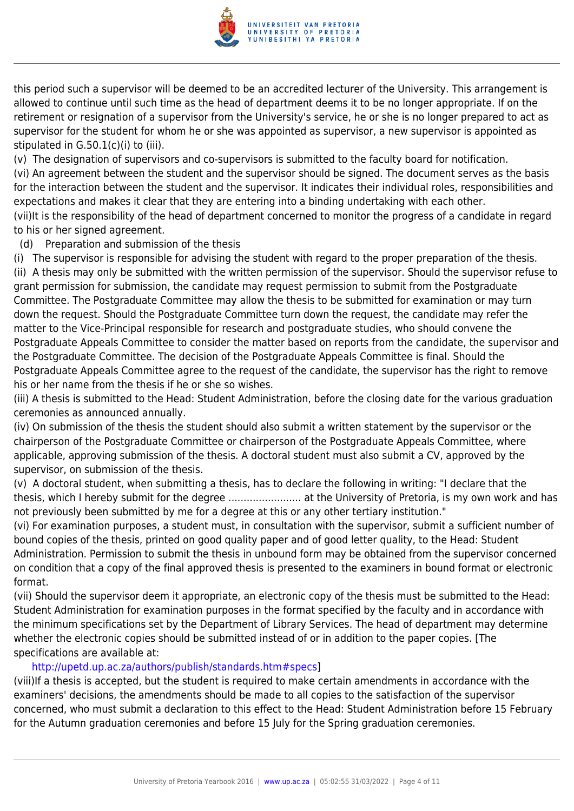

this period such a supervisor will be deemed to be an accredited lecturer of the University. This arrangement is allowed to continue until such time as the head of department deems it to be no longer appropriate. If on the retirement or resignation of a supervisor from the University's service, he or she is no longer prepared to act as supervisor for the student for whom he or she was appointed as supervisor, a new supervisor is appointed as stipulated in G.50.1(c)(i) to (iii).

(v) The designation of supervisors and co-supervisors is submitted to the faculty board for notification.

(vi) An agreement between the student and the supervisor should be signed. The document serves as the basis for the interaction between the student and the supervisor. It indicates their individual roles, responsibilities and expectations and makes it clear that they are entering into a binding undertaking with each other. (vii)It is the responsibility of the head of department concerned to monitor the progress of a candidate in regard to his or her signed agreement.

(d) Preparation and submission of the thesis

(i) The supervisor is responsible for advising the student with regard to the proper preparation of the thesis. (ii) A thesis may only be submitted with the written permission of the supervisor. Should the supervisor refuse to grant permission for submission, the candidate may request permission to submit from the Postgraduate Committee. The Postgraduate Committee may allow the thesis to be submitted for examination or may turn down the request. Should the Postgraduate Committee turn down the request, the candidate may refer the matter to the Vice-Principal responsible for research and postgraduate studies, who should convene the Postgraduate Appeals Committee to consider the matter based on reports from the candidate, the supervisor and the Postgraduate Committee. The decision of the Postgraduate Appeals Committee is final. Should the Postgraduate Appeals Committee agree to the request of the candidate, the supervisor has the right to remove his or her name from the thesis if he or she so wishes.

(iii) A thesis is submitted to the Head: Student Administration, before the closing date for the various graduation ceremonies as announced annually.

(iv) On submission of the thesis the student should also submit a written statement by the supervisor or the chairperson of the Postgraduate Committee or chairperson of the Postgraduate Appeals Committee, where applicable, approving submission of the thesis. A doctoral student must also submit a CV, approved by the supervisor, on submission of the thesis.

(v) A doctoral student, when submitting a thesis, has to declare the following in writing: "I declare that the thesis, which I hereby submit for the degree ........................ at the University of Pretoria, is my own work and has not previously been submitted by me for a degree at this or any other tertiary institution."

(vi) For examination purposes, a student must, in consultation with the supervisor, submit a sufficient number of bound copies of the thesis, printed on good quality paper and of good letter quality, to the Head: Student Administration. Permission to submit the thesis in unbound form may be obtained from the supervisor concerned on condition that a copy of the final approved thesis is presented to the examiners in bound format or electronic format.

(vii) Should the supervisor deem it appropriate, an electronic copy of the thesis must be submitted to the Head: Student Administration for examination purposes in the format specified by the faculty and in accordance with the minimum specifications set by the Department of Library Services. The head of department may determine whether the electronic copies should be submitted instead of or in addition to the paper copies. [The specifications are available at:

#### <http://upetd.up.ac.za/authors/publish/standards.htm#specs>]

(viii)If a thesis is accepted, but the student is required to make certain amendments in accordance with the examiners' decisions, the amendments should be made to all copies to the satisfaction of the supervisor concerned, who must submit a declaration to this effect to the Head: Student Administration before 15 February for the Autumn graduation ceremonies and before 15 July for the Spring graduation ceremonies.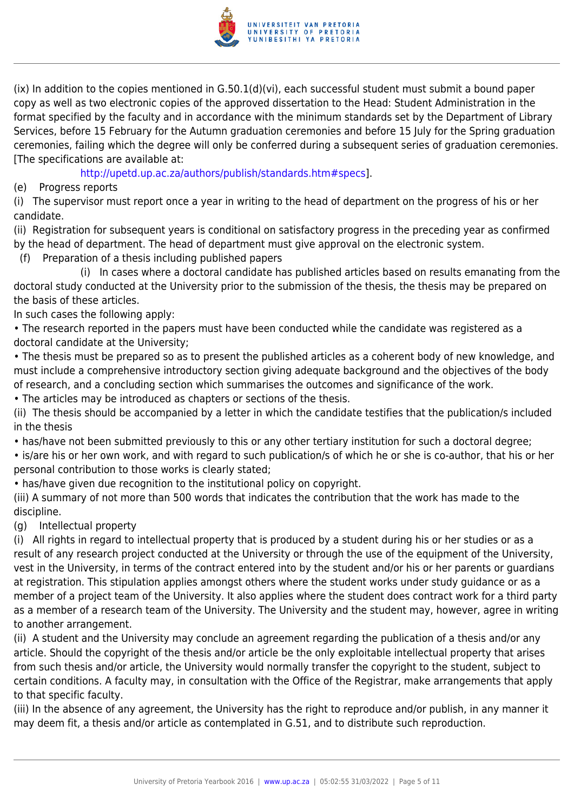

(ix) In addition to the copies mentioned in G.50.1(d)(vi), each successful student must submit a bound paper copy as well as two electronic copies of the approved dissertation to the Head: Student Administration in the format specified by the faculty and in accordance with the minimum standards set by the Department of Library Services, before 15 February for the Autumn graduation ceremonies and before 15 July for the Spring graduation ceremonies, failing which the degree will only be conferred during a subsequent series of graduation ceremonies. [The specifications are available at:

<http://upetd.up.ac.za/authors/publish/standards.htm#specs>].

(e) Progress reports

(i) The supervisor must report once a year in writing to the head of department on the progress of his or her candidate.

(ii) Registration for subsequent years is conditional on satisfactory progress in the preceding year as confirmed by the head of department. The head of department must give approval on the electronic system.

(f) Preparation of a thesis including published papers

 (i) In cases where a doctoral candidate has published articles based on results emanating from the doctoral study conducted at the University prior to the submission of the thesis, the thesis may be prepared on the basis of these articles.

In such cases the following apply:

• The research reported in the papers must have been conducted while the candidate was registered as a doctoral candidate at the University;

• The thesis must be prepared so as to present the published articles as a coherent body of new knowledge, and must include a comprehensive introductory section giving adequate background and the objectives of the body of research, and a concluding section which summarises the outcomes and significance of the work.

• The articles may be introduced as chapters or sections of the thesis.

(ii) The thesis should be accompanied by a letter in which the candidate testifies that the publication/s included in the thesis

• has/have not been submitted previously to this or any other tertiary institution for such a doctoral degree;

• is/are his or her own work, and with regard to such publication/s of which he or she is co-author, that his or her personal contribution to those works is clearly stated;

• has/have given due recognition to the institutional policy on copyright.

(iii) A summary of not more than 500 words that indicates the contribution that the work has made to the discipline.

(g) Intellectual property

(i) All rights in regard to intellectual property that is produced by a student during his or her studies or as a result of any research project conducted at the University or through the use of the equipment of the University, vest in the University, in terms of the contract entered into by the student and/or his or her parents or guardians at registration. This stipulation applies amongst others where the student works under study guidance or as a member of a project team of the University. It also applies where the student does contract work for a third party as a member of a research team of the University. The University and the student may, however, agree in writing to another arrangement.

(ii) A student and the University may conclude an agreement regarding the publication of a thesis and/or any article. Should the copyright of the thesis and/or article be the only exploitable intellectual property that arises from such thesis and/or article, the University would normally transfer the copyright to the student, subject to certain conditions. A faculty may, in consultation with the Office of the Registrar, make arrangements that apply to that specific faculty.

(iii) In the absence of any agreement, the University has the right to reproduce and/or publish, in any manner it may deem fit, a thesis and/or article as contemplated in G.51, and to distribute such reproduction.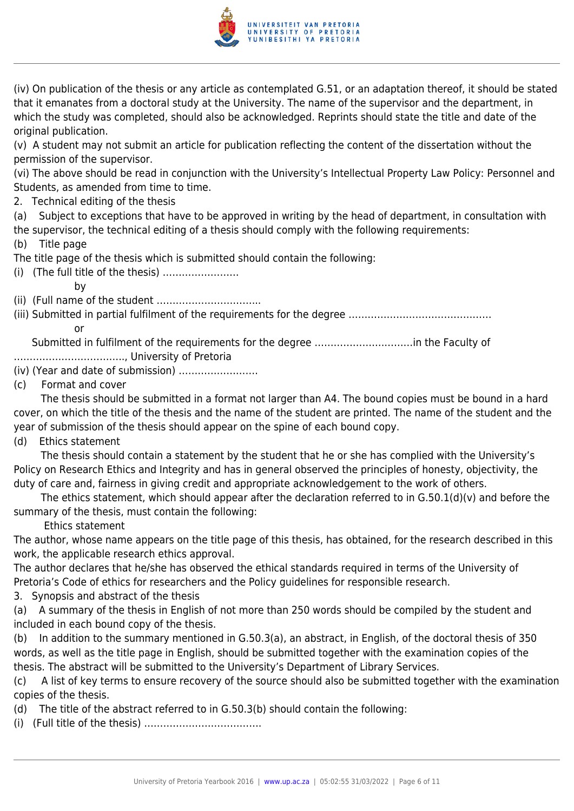

(iv) On publication of the thesis or any article as contemplated G.51, or an adaptation thereof, it should be stated that it emanates from a doctoral study at the University. The name of the supervisor and the department, in which the study was completed, should also be acknowledged. Reprints should state the title and date of the original publication.

(v) A student may not submit an article for publication reflecting the content of the dissertation without the permission of the supervisor.

(vi) The above should be read in conjunction with the University's Intellectual Property Law Policy: Personnel and Students, as amended from time to time.

2. Technical editing of the thesis

(a) Subject to exceptions that have to be approved in writing by the head of department, in consultation with the supervisor, the technical editing of a thesis should comply with the following requirements:

(b) Title page

The title page of the thesis which is submitted should contain the following:

(i) (The full title of the thesis) ……………………

by

(ii) (Full name of the student …………………………...

(iii) Submitted in partial fulfilment of the requirements for the degree ……………………………………… **or** the contract of  $\overline{a}$ 

 Submitted in fulfilment of the requirements for the degree ………………….………in the Faculty of …………………………….., University of Pretoria

(iv) (Year and date of submission) …………………….

(c) Format and cover

 The thesis should be submitted in a format not larger than A4. The bound copies must be bound in a hard cover, on which the title of the thesis and the name of the student are printed. The name of the student and the year of submission of the thesis should appear on the spine of each bound copy.

(d) Ethics statement

 The thesis should contain a statement by the student that he or she has complied with the University's Policy on Research Ethics and Integrity and has in general observed the principles of honesty, objectivity, the duty of care and, fairness in giving credit and appropriate acknowledgement to the work of others.

 The ethics statement, which should appear after the declaration referred to in G.50.1(d)(v) and before the summary of the thesis, must contain the following:

Ethics statement

The author, whose name appears on the title page of this thesis, has obtained, for the research described in this work, the applicable research ethics approval.

The author declares that he/she has observed the ethical standards required in terms of the University of Pretoria's Code of ethics for researchers and the Policy guidelines for responsible research.

3. Synopsis and abstract of the thesis

(a) A summary of the thesis in English of not more than 250 words should be compiled by the student and included in each bound copy of the thesis.

(b) In addition to the summary mentioned in G.50.3(a), an abstract, in English, of the doctoral thesis of 350 words, as well as the title page in English, should be submitted together with the examination copies of the thesis. The abstract will be submitted to the University's Department of Library Services.

(c) A list of key terms to ensure recovery of the source should also be submitted together with the examination copies of the thesis.

(d) The title of the abstract referred to in G.50.3(b) should contain the following:

(i) (Full title of the thesis) ……………………………….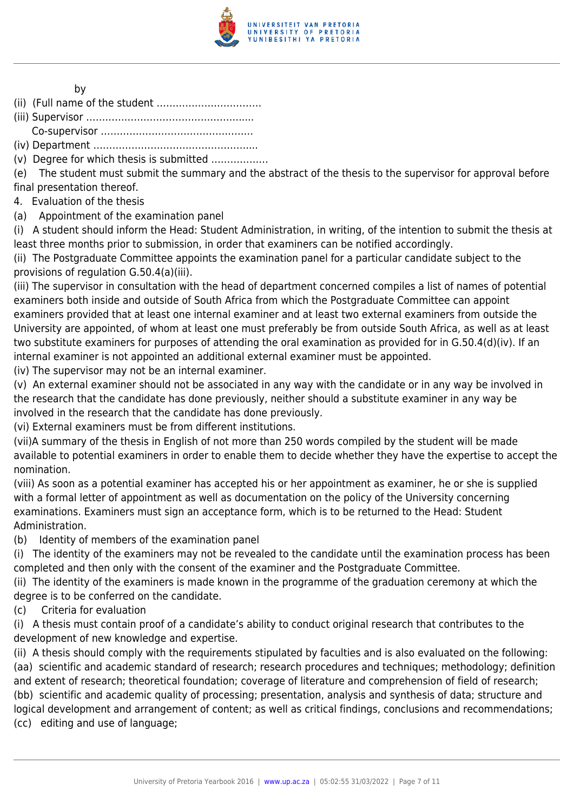

#### by

(ii) (Full name of the student ……………………………

(iii) Supervisor ………………………………………….....

Co-supervisor …………………………………………

(iv) Department …………………………………………....

(v) Degree for which thesis is submitted ………………

(e) The student must submit the summary and the abstract of the thesis to the supervisor for approval before final presentation thereof.

4. Evaluation of the thesis

(a) Appointment of the examination panel

(i) A student should inform the Head: Student Administration, in writing, of the intention to submit the thesis at least three months prior to submission, in order that examiners can be notified accordingly.

(ii) The Postgraduate Committee appoints the examination panel for a particular candidate subject to the provisions of regulation G.50.4(a)(iii).

(iii) The supervisor in consultation with the head of department concerned compiles a list of names of potential examiners both inside and outside of South Africa from which the Postgraduate Committee can appoint examiners provided that at least one internal examiner and at least two external examiners from outside the University are appointed, of whom at least one must preferably be from outside South Africa, as well as at least two substitute examiners for purposes of attending the oral examination as provided for in G.50.4(d)(iv). If an internal examiner is not appointed an additional external examiner must be appointed.

(iv) The supervisor may not be an internal examiner.

(v) An external examiner should not be associated in any way with the candidate or in any way be involved in the research that the candidate has done previously, neither should a substitute examiner in any way be involved in the research that the candidate has done previously.

(vi) External examiners must be from different institutions.

(vii)A summary of the thesis in English of not more than 250 words compiled by the student will be made available to potential examiners in order to enable them to decide whether they have the expertise to accept the nomination.

(viii) As soon as a potential examiner has accepted his or her appointment as examiner, he or she is supplied with a formal letter of appointment as well as documentation on the policy of the University concerning examinations. Examiners must sign an acceptance form, which is to be returned to the Head: Student Administration.

(b) Identity of members of the examination panel

(i) The identity of the examiners may not be revealed to the candidate until the examination process has been completed and then only with the consent of the examiner and the Postgraduate Committee.

(ii) The identity of the examiners is made known in the programme of the graduation ceremony at which the degree is to be conferred on the candidate.

(c) Criteria for evaluation

(i) A thesis must contain proof of a candidate's ability to conduct original research that contributes to the development of new knowledge and expertise.

(ii) A thesis should comply with the requirements stipulated by faculties and is also evaluated on the following: (aa) scientific and academic standard of research; research procedures and techniques; methodology; definition and extent of research; theoretical foundation; coverage of literature and comprehension of field of research; (bb) scientific and academic quality of processing; presentation, analysis and synthesis of data; structure and logical development and arrangement of content; as well as critical findings, conclusions and recommendations; (cc) editing and use of language;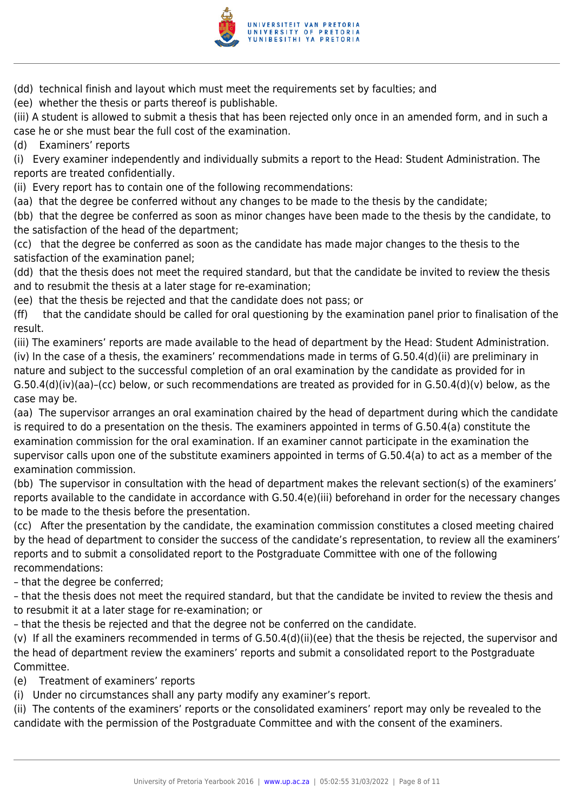

(dd) technical finish and layout which must meet the requirements set by faculties; and

(ee) whether the thesis or parts thereof is publishable.

(iii) A student is allowed to submit a thesis that has been rejected only once in an amended form, and in such a case he or she must bear the full cost of the examination.

(d) Examiners' reports

(i) Every examiner independently and individually submits a report to the Head: Student Administration. The reports are treated confidentially.

(ii) Every report has to contain one of the following recommendations:

(aa) that the degree be conferred without any changes to be made to the thesis by the candidate;

(bb) that the degree be conferred as soon as minor changes have been made to the thesis by the candidate, to the satisfaction of the head of the department;

(cc) that the degree be conferred as soon as the candidate has made major changes to the thesis to the satisfaction of the examination panel;

(dd) that the thesis does not meet the required standard, but that the candidate be invited to review the thesis and to resubmit the thesis at a later stage for re-examination;

(ee) that the thesis be rejected and that the candidate does not pass; or

(ff) that the candidate should be called for oral questioning by the examination panel prior to finalisation of the result.

(iii) The examiners' reports are made available to the head of department by the Head: Student Administration. (iv) In the case of a thesis, the examiners' recommendations made in terms of G.50.4(d)(ii) are preliminary in nature and subject to the successful completion of an oral examination by the candidate as provided for in G.50.4(d)(iv)(aa)–(cc) below, or such recommendations are treated as provided for in G.50.4(d)(v) below, as the case may be.

(aa) The supervisor arranges an oral examination chaired by the head of department during which the candidate is required to do a presentation on the thesis. The examiners appointed in terms of G.50.4(a) constitute the examination commission for the oral examination. If an examiner cannot participate in the examination the supervisor calls upon one of the substitute examiners appointed in terms of G.50.4(a) to act as a member of the examination commission.

(bb) The supervisor in consultation with the head of department makes the relevant section(s) of the examiners' reports available to the candidate in accordance with G.50.4(e)(iii) beforehand in order for the necessary changes to be made to the thesis before the presentation.

(cc) After the presentation by the candidate, the examination commission constitutes a closed meeting chaired by the head of department to consider the success of the candidate's representation, to review all the examiners' reports and to submit a consolidated report to the Postgraduate Committee with one of the following recommendations:

– that the degree be conferred;

– that the thesis does not meet the required standard, but that the candidate be invited to review the thesis and to resubmit it at a later stage for re-examination; or

– that the thesis be rejected and that the degree not be conferred on the candidate.

(v) If all the examiners recommended in terms of G.50.4(d)(ii)(ee) that the thesis be rejected, the supervisor and the head of department review the examiners' reports and submit a consolidated report to the Postgraduate Committee.

(e) Treatment of examiners' reports

(i) Under no circumstances shall any party modify any examiner's report.

(ii) The contents of the examiners' reports or the consolidated examiners' report may only be revealed to the candidate with the permission of the Postgraduate Committee and with the consent of the examiners.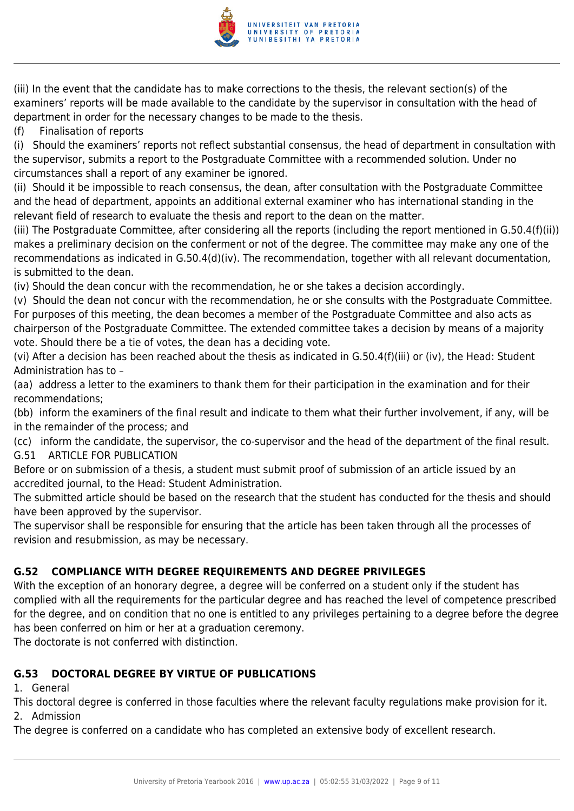

(iii) In the event that the candidate has to make corrections to the thesis, the relevant section(s) of the examiners' reports will be made available to the candidate by the supervisor in consultation with the head of department in order for the necessary changes to be made to the thesis.

(f) Finalisation of reports

(i) Should the examiners' reports not reflect substantial consensus, the head of department in consultation with the supervisor, submits a report to the Postgraduate Committee with a recommended solution. Under no circumstances shall a report of any examiner be ignored.

(ii) Should it be impossible to reach consensus, the dean, after consultation with the Postgraduate Committee and the head of department, appoints an additional external examiner who has international standing in the relevant field of research to evaluate the thesis and report to the dean on the matter.

(iii) The Postgraduate Committee, after considering all the reports (including the report mentioned in G.50.4(f)(ii)) makes a preliminary decision on the conferment or not of the degree. The committee may make any one of the recommendations as indicated in G.50.4(d)(iv). The recommendation, together with all relevant documentation, is submitted to the dean.

(iv) Should the dean concur with the recommendation, he or she takes a decision accordingly.

(v) Should the dean not concur with the recommendation, he or she consults with the Postgraduate Committee. For purposes of this meeting, the dean becomes a member of the Postgraduate Committee and also acts as chairperson of the Postgraduate Committee. The extended committee takes a decision by means of a majority vote. Should there be a tie of votes, the dean has a deciding vote.

(vi) After a decision has been reached about the thesis as indicated in G.50.4(f)(iii) or (iv), the Head: Student Administration has to –

(aa) address a letter to the examiners to thank them for their participation in the examination and for their recommendations;

(bb) inform the examiners of the final result and indicate to them what their further involvement, if any, will be in the remainder of the process; and

(cc) inform the candidate, the supervisor, the co-supervisor and the head of the department of the final result. G.51 ARTICLE FOR PUBLICATION

Before or on submission of a thesis, a student must submit proof of submission of an article issued by an accredited journal, to the Head: Student Administration.

The submitted article should be based on the research that the student has conducted for the thesis and should have been approved by the supervisor.

The supervisor shall be responsible for ensuring that the article has been taken through all the processes of revision and resubmission, as may be necessary.

## **G.52 COMPLIANCE WITH DEGREE REQUIREMENTS AND DEGREE PRIVILEGES**

With the exception of an honorary degree, a degree will be conferred on a student only if the student has complied with all the requirements for the particular degree and has reached the level of competence prescribed for the degree, and on condition that no one is entitled to any privileges pertaining to a degree before the degree has been conferred on him or her at a graduation ceremony.

The doctorate is not conferred with distinction.

## **G.53 DOCTORAL DEGREE BY VIRTUE OF PUBLICATIONS**

#### 1. General

This doctoral degree is conferred in those faculties where the relevant faculty regulations make provision for it. 2. Admission

The degree is conferred on a candidate who has completed an extensive body of excellent research.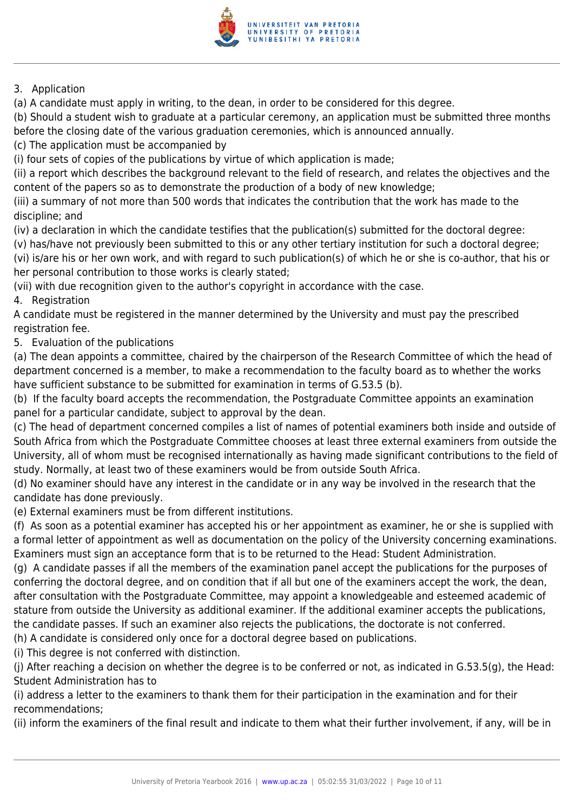

#### 3. Application

(a) A candidate must apply in writing, to the dean, in order to be considered for this degree.

(b) Should a student wish to graduate at a particular ceremony, an application must be submitted three months before the closing date of the various graduation ceremonies, which is announced annually.

(c) The application must be accompanied by

(i) four sets of copies of the publications by virtue of which application is made;

(ii) a report which describes the background relevant to the field of research, and relates the objectives and the content of the papers so as to demonstrate the production of a body of new knowledge;

(iii) a summary of not more than 500 words that indicates the contribution that the work has made to the discipline; and

(iv) a declaration in which the candidate testifies that the publication(s) submitted for the doctoral degree:

(v) has/have not previously been submitted to this or any other tertiary institution for such a doctoral degree; (vi) is/are his or her own work, and with regard to such publication(s) of which he or she is co-author, that his or her personal contribution to those works is clearly stated;

(vii) with due recognition given to the author's copyright in accordance with the case.

4. Registration

A candidate must be registered in the manner determined by the University and must pay the prescribed registration fee.

5. Evaluation of the publications

(a) The dean appoints a committee, chaired by the chairperson of the Research Committee of which the head of department concerned is a member, to make a recommendation to the faculty board as to whether the works have sufficient substance to be submitted for examination in terms of G.53.5 (b).

(b) If the faculty board accepts the recommendation, the Postgraduate Committee appoints an examination panel for a particular candidate, subject to approval by the dean.

(c) The head of department concerned compiles a list of names of potential examiners both inside and outside of South Africa from which the Postgraduate Committee chooses at least three external examiners from outside the University, all of whom must be recognised internationally as having made significant contributions to the field of study. Normally, at least two of these examiners would be from outside South Africa.

(d) No examiner should have any interest in the candidate or in any way be involved in the research that the candidate has done previously.

(e) External examiners must be from different institutions.

(f) As soon as a potential examiner has accepted his or her appointment as examiner, he or she is supplied with a formal letter of appointment as well as documentation on the policy of the University concerning examinations. Examiners must sign an acceptance form that is to be returned to the Head: Student Administration.

(g) A candidate passes if all the members of the examination panel accept the publications for the purposes of conferring the doctoral degree, and on condition that if all but one of the examiners accept the work, the dean, after consultation with the Postgraduate Committee, may appoint a knowledgeable and esteemed academic of stature from outside the University as additional examiner. If the additional examiner accepts the publications, the candidate passes. If such an examiner also rejects the publications, the doctorate is not conferred.

(h) A candidate is considered only once for a doctoral degree based on publications.

(i) This degree is not conferred with distinction.

(j) After reaching a decision on whether the degree is to be conferred or not, as indicated in G.53.5(g), the Head: Student Administration has to

(i) address a letter to the examiners to thank them for their participation in the examination and for their recommendations;

(ii) inform the examiners of the final result and indicate to them what their further involvement, if any, will be in